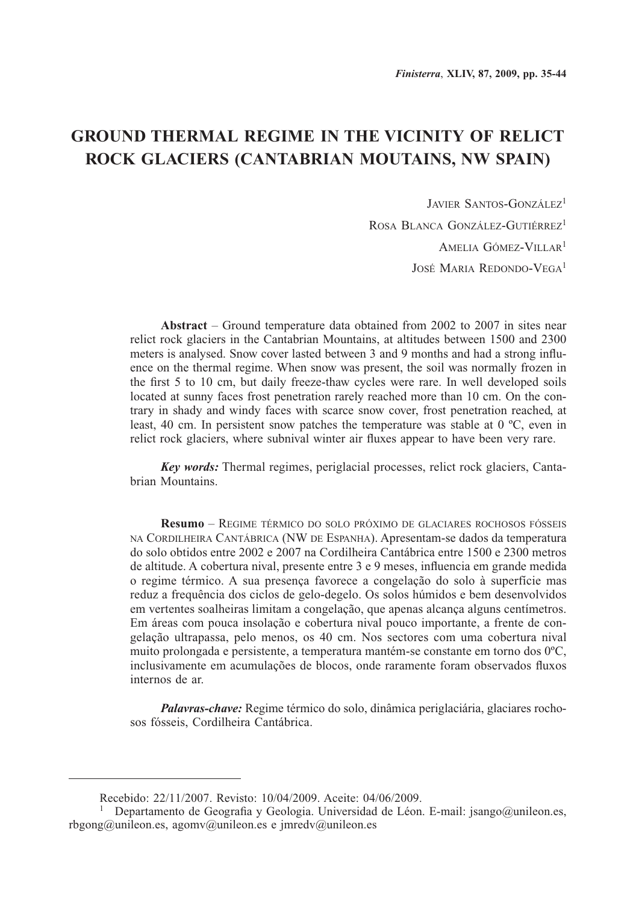# **GROUND THERMAL REGIME IN THE VICINITY OF RELICT ROCK GLACIERS (CANTABRIAN MOUTAINS, NW SPAIN)**

Javier Santos-González1 ROSA BLANCA GONZÁLEZ-GUTIÉRREZ<sup>1</sup> Amelia Gómez-Villar1 José Maria Redondo-Vega<sup>1</sup>

**Abstract** – Ground temperature data obtained from 2002 to 2007 in sites near relict rock glaciers in the Cantabrian Mountains, at altitudes between 1500 and 2300 meters is analysed. Snow cover lasted between 3 and 9 months and had a strong influence on the thermal regime. When snow was present, the soil was normally frozen in the first 5 to 10 cm, but daily freeze-thaw cycles were rare. In well developed soils located at sunny faces frost penetration rarely reached more than 10 cm. On the contrary in shady and windy faces with scarce snow cover, frost penetration reached, at least, 40 cm. In persistent snow patches the temperature was stable at 0 ºC, even in relict rock glaciers, where subnival winter air fluxes appear to have been very rare.

*Key words:* Thermal regimes, periglacial processes, relict rock glaciers, Cantabrian Mountains.

**Resumo** – Regime térmico do solo próximo de glaciares rochosos fósseis na Cordilheira Cantábrica (NW de Espanha). Apresentam-se dados da temperatura do solo obtidos entre 2002 e 2007 na Cordilheira Cantábrica entre 1500 e 2300 metros de altitude. A cobertura nival, presente entre 3 e 9 meses, influencia em grande medida o regime térmico. A sua presença favorece a congelação do solo à superfície mas reduz a frequência dos ciclos de gelo-degelo. Os solos húmidos e bem desenvolvidos em vertentes soalheiras limitam a congelação, que apenas alcança alguns centímetros. Em áreas com pouca insolação e cobertura nival pouco importante, a frente de congelação ultrapassa, pelo menos, os 40 cm. Nos sectores com uma cobertura nival muito prolongada e persistente, a temperatura mantém-se constante em torno dos 0ºC, inclusivamente em acumulações de blocos, onde raramente foram observados fluxos internos de ar.

*Palavras-chave:* Regime térmico do solo, dinâmica periglaciária, glaciares rochosos fósseis, Cordilheira Cantábrica.

Recebido: 22/11/2007. Revisto: 10/04/2009. Aceite: 04/06/2009.

<sup>&</sup>lt;sup>1</sup> Departamento de Geografia y Geologia. Universidad de Léon. E-mail: jsango@unileon.es, rbgong@unileon.es, agomv@unileon.es e jmredv@unileon.es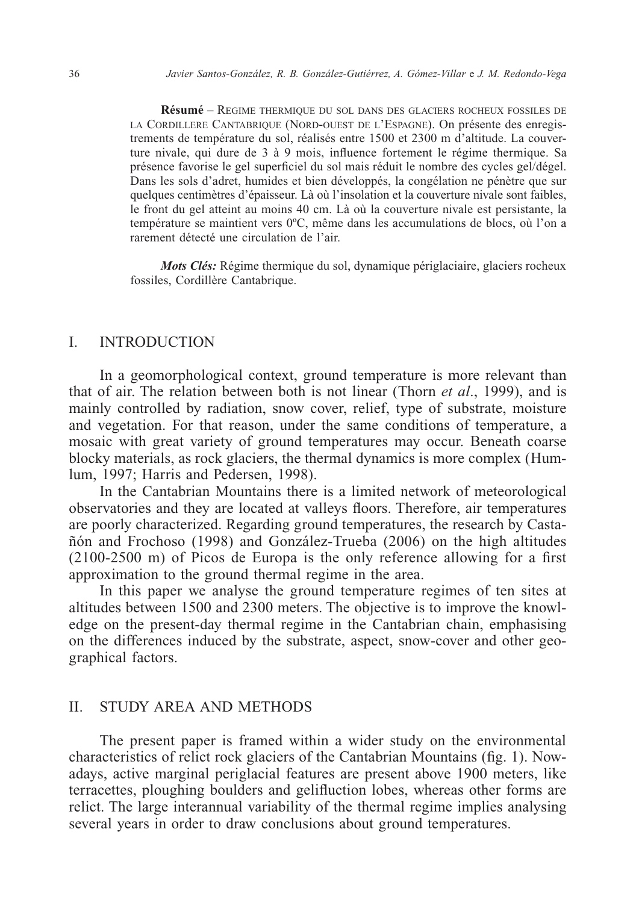**Résumé** – Regime thermique du sol dans des glaciers rocheux fossiles de la Cordillere Cantabrique (Nord-ouest de l'Espagne). On présente des enregistrements de température du sol, réalisés entre 1500 et 2300 m d'altitude. La couverture nivale, qui dure de 3 à 9 mois, influence fortement le régime thermique. Sa présence favorise le gel superficiel du sol mais réduit le nombre des cycles gel/dégel. Dans les sols d'adret, humides et bien développés, la congélation ne pénètre que sur quelques centimètres d'épaisseur. Là où l'insolation et la couverture nivale sont faibles, le front du gel atteint au moins 40 cm. Là où la couverture nivale est persistante, la température se maintient vers 0ºC, même dans les accumulations de blocs, où l'on a rarement détecté une circulation de l'air.

*Mots Clés:* Régime thermique du sol, dynamique périglaciaire, glaciers rocheux fossiles, Cordillère Cantabrique.

## I. INTRODUCTION

In a geomorphological context, ground temperature is more relevant than that of air. The relation between both is not linear (Thorn *et al*., 1999), and is mainly controlled by radiation, snow cover, relief, type of substrate, moisture and vegetation. For that reason, under the same conditions of temperature, a mosaic with great variety of ground temperatures may occur. Beneath coarse blocky materials, as rock glaciers, the thermal dynamics is more complex (Humlum, 1997; Harris and Pedersen, 1998).

In the Cantabrian Mountains there is a limited network of meteorological observatories and they are located at valleys floors. Therefore, air temperatures are poorly characterized. Regarding ground temperatures, the research by Castañón and Frochoso (1998) and González-Trueba (2006) on the high altitudes (2100-2500 m) of Picos de Europa is the only reference allowing for a first approximation to the ground thermal regime in the area.

In this paper we analyse the ground temperature regimes of ten sites at altitudes between 1500 and 2300 meters. The objective is to improve the knowledge on the present-day thermal regime in the Cantabrian chain, emphasising on the differences induced by the substrate, aspect, snow-cover and other geographical factors.

### II. STUDY AREA AND METHODS

The present paper is framed within a wider study on the environmental characteristics of relict rock glaciers of the Cantabrian Mountains (fig. 1). Nowadays, active marginal periglacial features are present above 1900 meters, like terracettes, ploughing boulders and gelifluction lobes, whereas other forms are relict. The large interannual variability of the thermal regime implies analysing several years in order to draw conclusions about ground temperatures.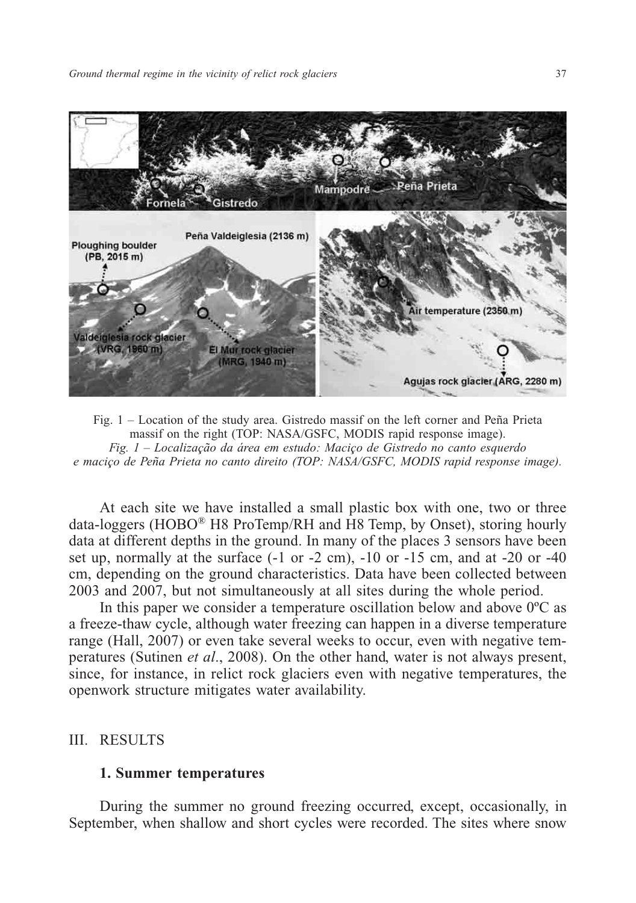

Fig. 1 – Location of the study area. Gistredo massif on the left corner and Peña Prieta massif on the right (TOP: NASA/GSFC, MODIS rapid response image). *Fig. 1 – Localização da área em estudo: Maciço de Gistredo no canto esquerdo e maciço de Peña Prieta no canto direito (TOP: NASA/GSFC, MODIS rapid response image).*

At each site we have installed a small plastic box with one, two or three data-loggers (HOBO® H8 ProTemp/RH and H8 Temp, by Onset), storing hourly data at different depths in the ground. In many of the places 3 sensors have been set up, normally at the surface (-1 or -2 cm), -10 or -15 cm, and at -20 or -40 cm, depending on the ground characteristics. Data have been collected between 2003 and 2007, but not simultaneously at all sites during the whole period.

In this paper we consider a temperature oscillation below and above 0ºC as a freeze-thaw cycle, although water freezing can happen in a diverse temperature range (Hall, 2007) or even take several weeks to occur, even with negative temperatures (Sutinen *et al*., 2008). On the other hand, water is not always present, since, for instance, in relict rock glaciers even with negative temperatures, the openwork structure mitigates water availability.

## III. RESULTS

#### **1. Summer temperatures**

During the summer no ground freezing occurred, except, occasionally, in September, when shallow and short cycles were recorded. The sites where snow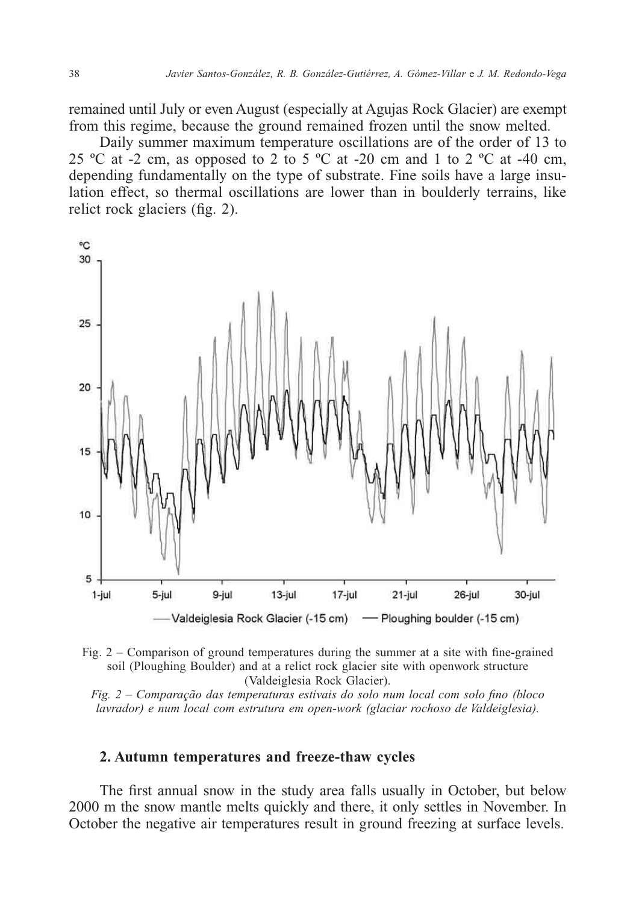remained until July or even August (especially at Agujas Rock Glacier) are exempt from this regime, because the ground remained frozen until the snow melted.

Daily summer maximum temperature oscillations are of the order of 13 to 25 °C at -2 cm, as opposed to 2 to 5 °C at -20 cm and 1 to 2 °C at -40 cm, depending fundamentally on the type of substrate. Fine soils have a large insulation effect, so thermal oscillations are lower than in boulderly terrains, like relict rock glaciers (fig. 2).





*Fig. 2 – Comparação das temperaturas estivais do solo num local com solo fino (bloco lavrador) e num local com estrutura em open-work (glaciar rochoso de Valdeiglesia).*

### **2. Autumn temperatures and freeze-thaw cycles**

The first annual snow in the study area falls usually in October, but below 2000 m the snow mantle melts quickly and there, it only settles in November. In October the negative air temperatures result in ground freezing at surface levels.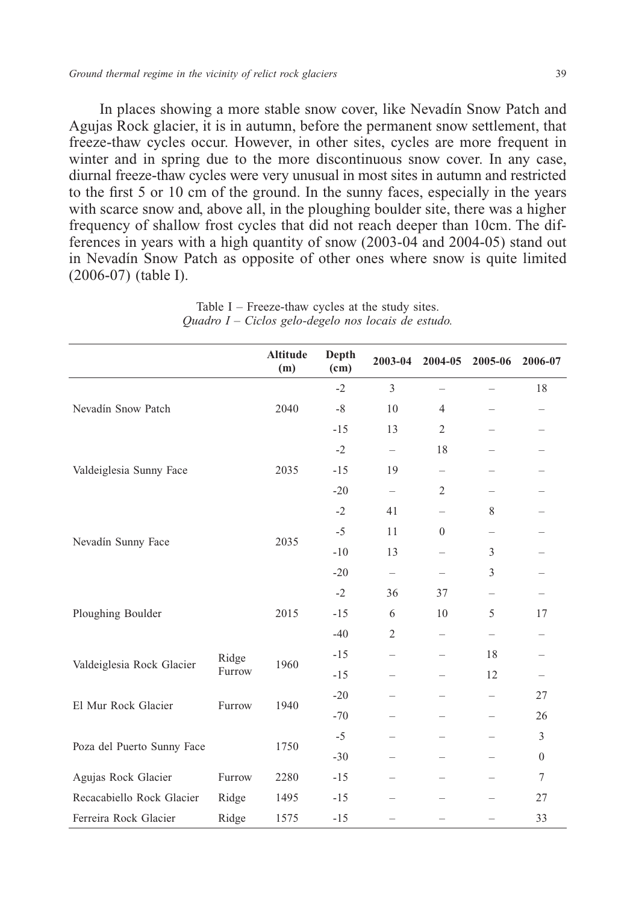In places showing a more stable snow cover, like Nevadín Snow Patch and Agujas Rock glacier, it is in autumn, before the permanent snow settlement, that freeze-thaw cycles occur. However, in other sites, cycles are more frequent in winter and in spring due to the more discontinuous snow cover. In any case, diurnal freeze-thaw cycles were very unusual in most sites in autumn and restricted to the first 5 or 10 cm of the ground. In the sunny faces, especially in the years with scarce snow and, above all, in the ploughing boulder site, there was a higher frequency of shallow frost cycles that did not reach deeper than 10cm. The differences in years with a high quantity of snow (2003-04 and 2004-05) stand out in Nevadín Snow Patch as opposite of other ones where snow is quite limited (2006-07) (table I).

|                            |                 | <b>Altitude</b><br>(m) | Depth<br>(c <sub>m</sub> ) | 2003-04                  | 2004-05                  | 2005-06                  | 2006-07      |
|----------------------------|-----------------|------------------------|----------------------------|--------------------------|--------------------------|--------------------------|--------------|
|                            |                 |                        | $-2$                       | $\mathfrak{Z}$           | $\overline{\phantom{0}}$ | -                        | 18           |
| Nevadín Snow Patch         |                 | 2040                   | $-8$                       | 10                       | $\overline{4}$           | $\overline{\phantom{0}}$ |              |
|                            |                 |                        | $-15$                      | 13                       | $\mathfrak{2}$           |                          |              |
|                            |                 |                        | $-2$                       | $\qquad \qquad -$        | 18                       |                          |              |
| Valdeiglesia Sunny Face    |                 | 2035                   | $-15$                      | 19                       | $\overline{\phantom{0}}$ | $\overline{\phantom{0}}$ |              |
|                            |                 |                        | $-20$                      | $\overline{\phantom{0}}$ | 2                        | $\overline{\phantom{0}}$ |              |
| Nevadín Sunny Face         |                 | 2035                   | $-2$                       | 41                       | $\overline{\phantom{0}}$ | 8                        |              |
|                            |                 |                        | $-5$                       | 11                       | $\mathbf{0}$             | $\qquad \qquad -$        |              |
|                            |                 |                        | $-10$                      | 13                       | $\overline{\phantom{0}}$ | 3                        |              |
|                            |                 |                        | $-20$                      | $\equiv$                 |                          | 3                        |              |
| Ploughing Boulder          |                 |                        | $-2$                       | 36                       | 37                       | $\overline{\phantom{0}}$ |              |
|                            |                 | 2015                   | $-15$                      | 6                        | 10                       | 5                        | 17           |
|                            |                 |                        | $-40$                      | $\overline{2}$           | $\overline{\phantom{0}}$ | $\overline{\phantom{0}}$ |              |
| Valdeiglesia Rock Glacier  | Ridge<br>Furrow | 1960                   | $-15$                      | $\overline{\phantom{0}}$ |                          | 18                       |              |
|                            |                 |                        | $-15$                      |                          | -                        | 12                       |              |
| El Mur Rock Glacier        | Furrow          | 1940                   | $-20$                      |                          |                          | $\overline{\phantom{0}}$ | 27           |
|                            |                 |                        | $-70$                      |                          |                          | $\overline{\phantom{0}}$ | 26           |
| Poza del Puerto Sunny Face |                 | 1750                   | $-5$                       |                          | -                        | $\overline{\phantom{0}}$ | 3            |
|                            |                 |                        | $-30$                      | $\overline{\phantom{0}}$ | -                        | $\overline{\phantom{0}}$ | $\mathbf{0}$ |
| Agujas Rock Glacier        | Furrow          | 2280                   | $-15$                      |                          |                          |                          | 7            |
| Recacabiello Rock Glacier  | Ridge           | 1495                   | $-15$                      |                          |                          |                          | 27           |
| Ferreira Rock Glacier      | Ridge           | 1575                   | $-15$                      |                          |                          | $\overline{\phantom{0}}$ | 33           |

Table I – Freeze-thaw cycles at the study sites. *Quadro I – Ciclos gelo-degelo nos locais de estudo.*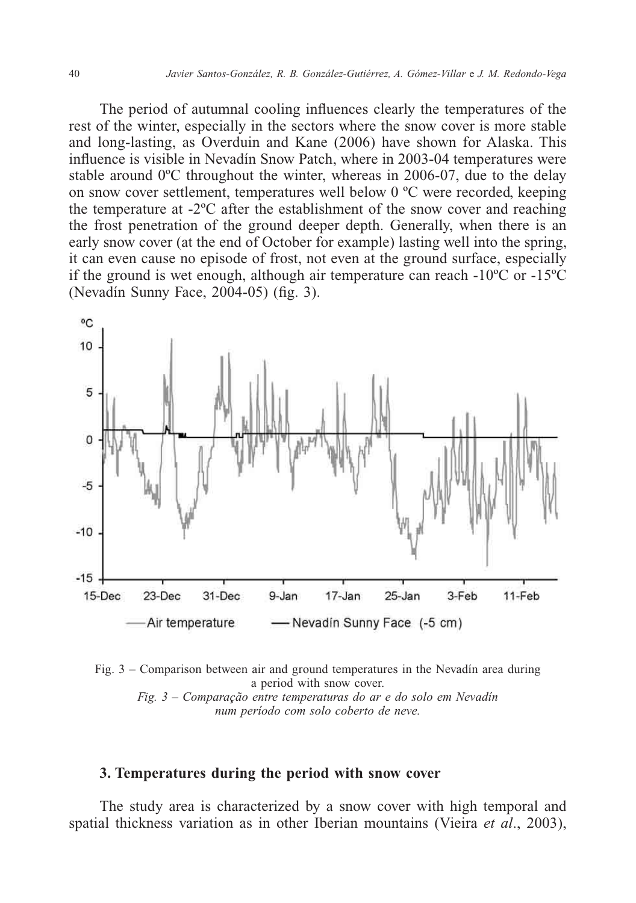The period of autumnal cooling influences clearly the temperatures of the rest of the winter, especially in the sectors where the snow cover is more stable and long-lasting, as Overduin and Kane (2006) have shown for Alaska. This influence is visible in Nevadín Snow Patch, where in 2003-04 temperatures were stable around  $0^{\circ}$ C throughout the winter, whereas in 2006-07, due to the delay on snow cover settlement, temperatures well below 0 ºC were recorded, keeping the temperature at -2ºC after the establishment of the snow cover and reaching the frost penetration of the ground deeper depth. Generally, when there is an early snow cover (at the end of October for example) lasting well into the spring, it can even cause no episode of frost, not even at the ground surface, especially if the ground is wet enough, although air temperature can reach -10ºC or -15ºC (Nevadín Sunny Face, 2004-05) (fig. 3).



Fig. 3 – Comparison between air and ground temperatures in the Nevadín area during a period with snow cover. *Fig. 3 – Comparação entre temperaturas do ar e do solo em Nevadín num período com solo coberto de neve.*

## **3. Temperatures during the period with snow cover**

The study area is characterized by a snow cover with high temporal and spatial thickness variation as in other Iberian mountains (Vieira *et al*., 2003),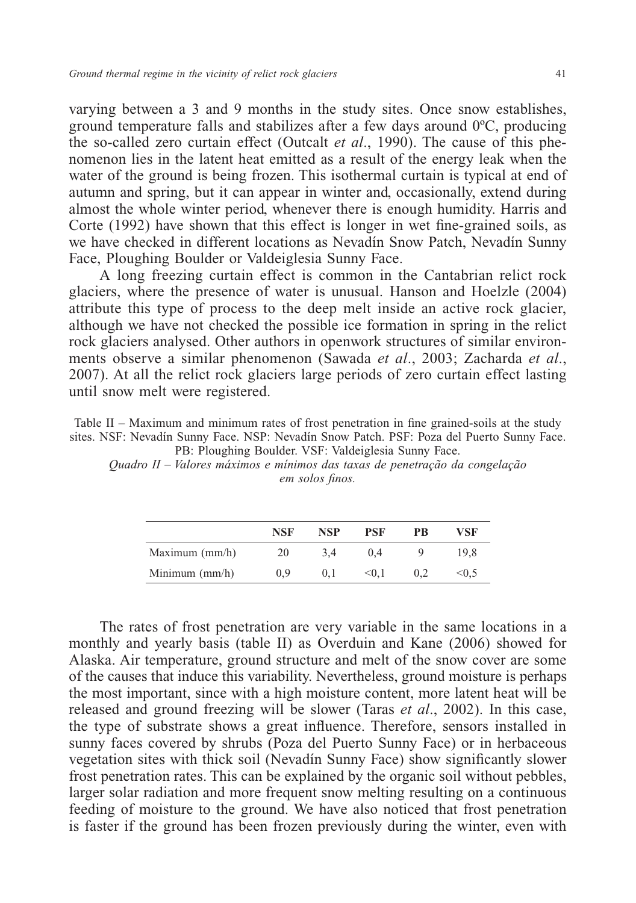varying between a 3 and 9 months in the study sites. Once snow establishes, ground temperature falls and stabilizes after a few days around 0ºC, producing the so-called zero curtain effect (Outcalt *et al*., 1990). The cause of this phenomenon lies in the latent heat emitted as a result of the energy leak when the water of the ground is being frozen. This isothermal curtain is typical at end of autumn and spring, but it can appear in winter and, occasionally, extend during almost the whole winter period, whenever there is enough humidity. Harris and Corte (1992) have shown that this effect is longer in wet fine-grained soils, as we have checked in different locations as Nevadín Snow Patch, Nevadín Sunny Face, Ploughing Boulder or Valdeiglesia Sunny Face.

A long freezing curtain effect is common in the Cantabrian relict rock glaciers, where the presence of water is unusual. Hanson and Hoelzle (2004) attribute this type of process to the deep melt inside an active rock glacier, although we have not checked the possible ice formation in spring in the relict rock glaciers analysed. Other authors in openwork structures of similar environments observe a similar phenomenon (Sawada *et al*., 2003; Zacharda *et al*., 2007). At all the relict rock glaciers large periods of zero curtain effect lasting until snow melt were registered.

Table II – Maximum and minimum rates of frost penetration in fine grained-soils at the study sites. NSF: Nevadín Sunny Face. NSP: Nevadín Snow Patch. PSF: Poza del Puerto Sunny Face. PB: Ploughing Boulder. VSF: Valdeiglesia Sunny Face.

*Quadro II – Valores máximos e mínimos das taxas de penetração da congelação em solos finos.*

|                  | <b>NSF</b> | NSP | PSF   | РB  | VSF     |
|------------------|------------|-----|-------|-----|---------|
| Maximum $(mm/h)$ | 20         | 3.4 | 0.4   | Q   | 19.8    |
| Minimum $(mm/h)$ | 0.9        | 0.1 | $0.1$ | 0.2 | $<$ 0.5 |

The rates of frost penetration are very variable in the same locations in a monthly and yearly basis (table II) as Overduin and Kane (2006) showed for Alaska. Air temperature, ground structure and melt of the snow cover are some of the causes that induce this variability. Nevertheless, ground moisture is perhaps the most important, since with a high moisture content, more latent heat will be released and ground freezing will be slower (Taras *et al*., 2002). In this case, the type of substrate shows a great influence. Therefore, sensors installed in sunny faces covered by shrubs (Poza del Puerto Sunny Face) or in herbaceous vegetation sites with thick soil (Nevadín Sunny Face) show significantly slower frost penetration rates. This can be explained by the organic soil without pebbles, larger solar radiation and more frequent snow melting resulting on a continuous feeding of moisture to the ground. We have also noticed that frost penetration is faster if the ground has been frozen previously during the winter, even with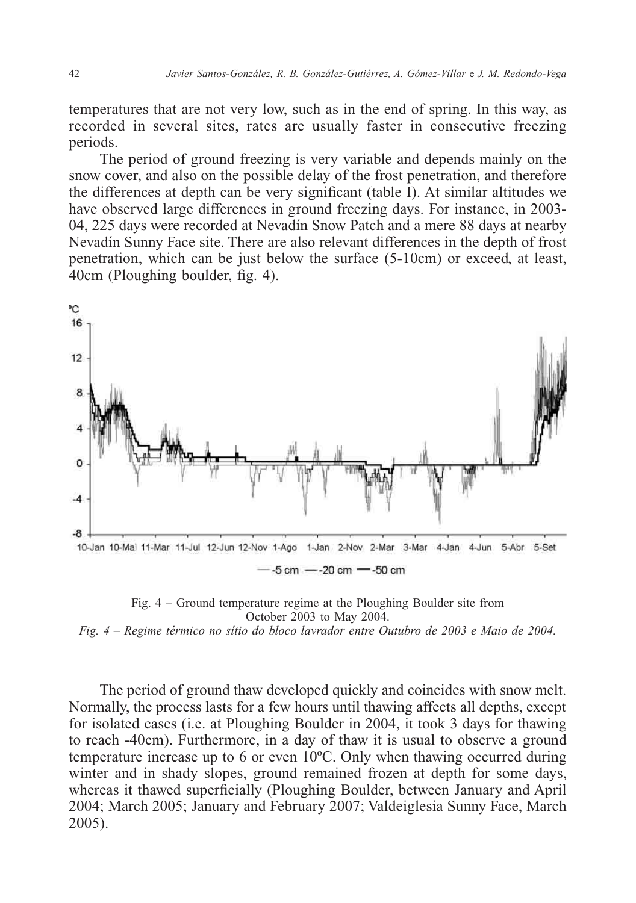temperatures that are not very low, such as in the end of spring. In this way, as recorded in several sites, rates are usually faster in consecutive freezing periods.

The period of ground freezing is very variable and depends mainly on the snow cover, and also on the possible delay of the frost penetration, and therefore the differences at depth can be very significant (table  $\hat{I}$ ). At similar altitudes we have observed large differences in ground freezing days. For instance, in 2003- 04, 225 days were recorded at Nevadín Snow Patch and a mere 88 days at nearby Nevadín Sunny Face site. There are also relevant differences in the depth of frost penetration, which can be just below the surface (5-10cm) or exceed, at least, 40cm (Ploughing boulder, fig. 4).



Fig. 4 – Ground temperature regime at the Ploughing Boulder site from October 2003 to May 2004.

*Fig. 4 – Regime térmico no sítio do bloco lavrador entre Outubro de 2003 e Maio de 2004.*

The period of ground thaw developed quickly and coincides with snow melt. Normally, the process lasts for a few hours until thawing affects all depths, except for isolated cases (i.e. at Ploughing Boulder in 2004, it took 3 days for thawing to reach -40cm). Furthermore, in a day of thaw it is usual to observe a ground temperature increase up to 6 or even 10ºC. Only when thawing occurred during winter and in shady slopes, ground remained frozen at depth for some days, whereas it thawed superficially (Ploughing Boulder, between January and April 2004; March 2005; January and February 2007; Valdeiglesia Sunny Face, March 2005).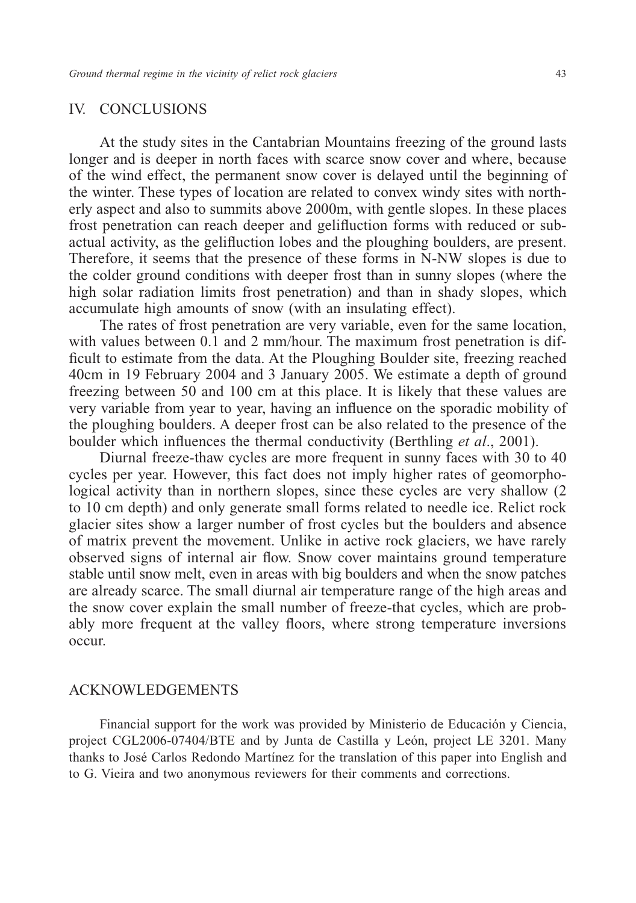## IV. CONCLUSIONS

At the study sites in the Cantabrian Mountains freezing of the ground lasts longer and is deeper in north faces with scarce snow cover and where, because of the wind effect, the permanent snow cover is delayed until the beginning of the winter. These types of location are related to convex windy sites with northerly aspect and also to summits above 2000m, with gentle slopes. In these places frost penetration can reach deeper and gelifluction forms with reduced or subactual activity, as the gelifluction lobes and the ploughing boulders, are present. Therefore, it seems that the presence of these forms in N-NW slopes is due to the colder ground conditions with deeper frost than in sunny slopes (where the high solar radiation limits frost penetration) and than in shady slopes, which accumulate high amounts of snow (with an insulating effect).

The rates of frost penetration are very variable, even for the same location, with values between 0.1 and 2 mm/hour. The maximum frost penetration is difficult to estimate from the data. At the Ploughing Boulder site, freezing reached 40cm in 19 February 2004 and 3 January 2005. We estimate a depth of ground freezing between 50 and 100 cm at this place. It is likely that these values are very variable from year to year, having an influence on the sporadic mobility of the ploughing boulders. A deeper frost can be also related to the presence of the boulder which influences the thermal conductivity (Berthling *et al*., 2001).

Diurnal freeze-thaw cycles are more frequent in sunny faces with 30 to 40 cycles per year. However, this fact does not imply higher rates of geomorphological activity than in northern slopes, since these cycles are very shallow (2) to 10 cm depth) and only generate small forms related to needle ice. Relict rock glacier sites show a larger number of frost cycles but the boulders and absence of matrix prevent the movement. Unlike in active rock glaciers, we have rarely observed signs of internal air flow. Snow cover maintains ground temperature stable until snow melt, even in areas with big boulders and when the snow patches are already scarce. The small diurnal air temperature range of the high areas and the snow cover explain the small number of freeze-that cycles, which are probably more frequent at the valley floors, where strong temperature inversions occur.

## ACKNOWLEDGEMENTS

Financial support for the work was provided by Ministerio de Educación y Ciencia, project CGL2006-07404/BTE and by Junta de Castilla y León, project LE 3201. Many thanks to José Carlos Redondo Martínez for the translation of this paper into English and to G. Vieira and two anonymous reviewers for their comments and corrections.